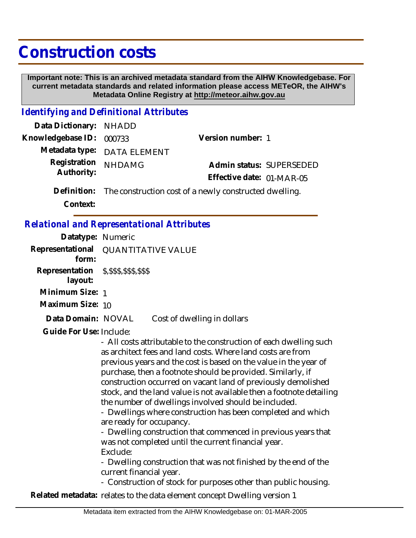## **Construction costs**

 **Important note: This is an archived metadata standard from the AIHW Knowledgebase. For current metadata standards and related information please access METeOR, the AIHW's Metadata Online Registry at http://meteor.aihw.gov.au**

## *Identifying and Definitional Attributes*

| Data Dictionary: NHADD   |                                                                    |                           |  |
|--------------------------|--------------------------------------------------------------------|---------------------------|--|
| Knowledgebase ID: 000733 |                                                                    | Version number: 1         |  |
|                          | Metadata type: DATA ELEMENT                                        |                           |  |
| Registration             | <b>NHDAMG</b>                                                      | Admin status: SUPERSEDED  |  |
| Authority:               |                                                                    | Effective date: 01-MAR-05 |  |
|                          | Definition: The construction cost of a newly constructed dwelling. |                           |  |
|                          |                                                                    |                           |  |

**Context:**

## *Relational and Representational Attributes*

| Datatype: Numeric                                    |                                                                                                                                                                                                                                                                                                                                                                                                                                                                                                                                                                                                                                                                                                                                                                                                                                                                       |
|------------------------------------------------------|-----------------------------------------------------------------------------------------------------------------------------------------------------------------------------------------------------------------------------------------------------------------------------------------------------------------------------------------------------------------------------------------------------------------------------------------------------------------------------------------------------------------------------------------------------------------------------------------------------------------------------------------------------------------------------------------------------------------------------------------------------------------------------------------------------------------------------------------------------------------------|
| Representational<br>form:                            | <b>QUANTITATIVE VALUE</b>                                                                                                                                                                                                                                                                                                                                                                                                                                                                                                                                                                                                                                                                                                                                                                                                                                             |
| Representation \$, \$\$\$, \$\$\$, \$\$\$<br>layout: |                                                                                                                                                                                                                                                                                                                                                                                                                                                                                                                                                                                                                                                                                                                                                                                                                                                                       |
| Minimum Size: 1                                      |                                                                                                                                                                                                                                                                                                                                                                                                                                                                                                                                                                                                                                                                                                                                                                                                                                                                       |
| Maximum Size: 10                                     |                                                                                                                                                                                                                                                                                                                                                                                                                                                                                                                                                                                                                                                                                                                                                                                                                                                                       |
| Data Domain: NOVAL                                   | Cost of dwelling in dollars                                                                                                                                                                                                                                                                                                                                                                                                                                                                                                                                                                                                                                                                                                                                                                                                                                           |
| Guide For Use: Include:                              | - All costs attributable to the construction of each dwelling such<br>as architect fees and land costs. Where land costs are from<br>previous years and the cost is based on the value in the year of<br>purchase, then a footnote should be provided. Similarly, if<br>construction occurred on vacant land of previously demolished<br>stock, and the land value is not available then a footnote detailing<br>the number of dwellings involved should be included.<br>- Dwellings where construction has been completed and which<br>are ready for occupancy.<br>- Dwelling construction that commenced in previous years that<br>was not completed until the current financial year.<br>Exclude:<br>- Dwelling construction that was not finished by the end of the<br>current financial year.<br>- Construction of stock for purposes other than public housing. |
|                                                      | Related metadata: relates to the data element concept Dwelling version 1                                                                                                                                                                                                                                                                                                                                                                                                                                                                                                                                                                                                                                                                                                                                                                                              |
|                                                      |                                                                                                                                                                                                                                                                                                                                                                                                                                                                                                                                                                                                                                                                                                                                                                                                                                                                       |